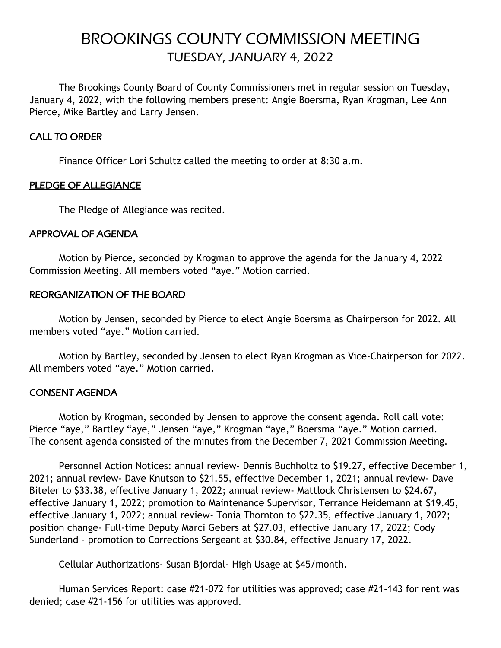# BROOKINGS COUNTY COMMISSION MEETING TUESDAY, JANUARY 4, 2022

The Brookings County Board of County Commissioners met in regular session on Tuesday, January 4, 2022, with the following members present: Angie Boersma, Ryan Krogman, Lee Ann Pierce, Mike Bartley and Larry Jensen.

## CALL TO ORDER

Finance Officer Lori Schultz called the meeting to order at 8:30 a.m.

# PLEDGE OF ALLEGIANCE

The Pledge of Allegiance was recited.

## APPROVAL OF AGENDA

Motion by Pierce, seconded by Krogman to approve the agenda for the January 4, 2022 Commission Meeting. All members voted "aye." Motion carried.

## REORGANIZATION OF THE BOARD

Motion by Jensen, seconded by Pierce to elect Angie Boersma as Chairperson for 2022. All members voted "aye." Motion carried.

Motion by Bartley, seconded by Jensen to elect Ryan Krogman as Vice-Chairperson for 2022. All members voted "aye." Motion carried.

## CONSENT AGENDA

Motion by Krogman, seconded by Jensen to approve the consent agenda. Roll call vote: Pierce "aye," Bartley "aye," Jensen "aye," Krogman "aye," Boersma "aye." Motion carried. The consent agenda consisted of the minutes from the December 7, 2021 Commission Meeting.

Personnel Action Notices: annual review- Dennis Buchholtz to \$19.27, effective December 1, 2021; annual review- Dave Knutson to \$21.55, effective December 1, 2021; annual review- Dave Biteler to \$33.38, effective January 1, 2022; annual review- Mattlock Christensen to \$24.67, effective January 1, 2022; promotion to Maintenance Supervisor, Terrance Heidemann at \$19.45, effective January 1, 2022; annual review- Tonia Thornton to \$22.35, effective January 1, 2022; position change- Full-time Deputy Marci Gebers at \$27.03, effective January 17, 2022; Cody Sunderland - promotion to Corrections Sergeant at \$30.84, effective January 17, 2022.

Cellular Authorizations- Susan Bjordal- High Usage at \$45/month.

Human Services Report: case #21-072 for utilities was approved; case #21-143 for rent was denied; case #21-156 for utilities was approved.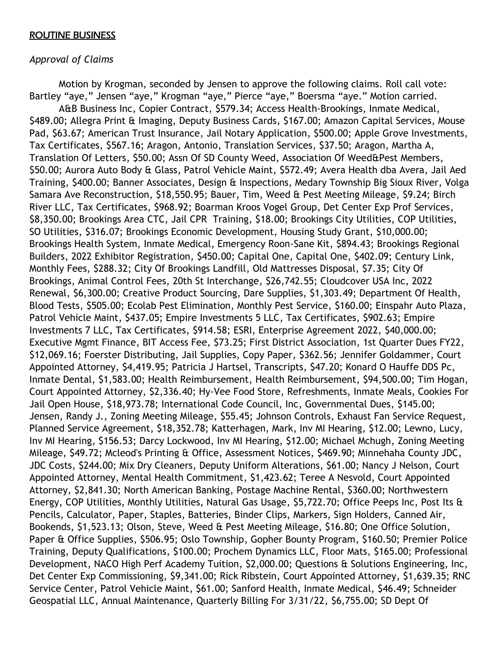#### ROUTINE BUSINESS

#### *Approval of Claims*

Motion by Krogman, seconded by Jensen to approve the following claims. Roll call vote: Bartley "aye," Jensen "aye," Krogman "aye," Pierce "aye," Boersma "aye." Motion carried. A&B Business Inc, Copier Contract, \$579.34; Access Health-Brookings, Inmate Medical, \$489.00; Allegra Print & Imaging, Deputy Business Cards, \$167.00; Amazon Capital Services, Mouse Pad, \$63.67; American Trust Insurance, Jail Notary Application, \$500.00; Apple Grove Investments, Tax Certificates, \$567.16; Aragon, Antonio, Translation Services, \$37.50; Aragon, Martha A, Translation Of Letters, \$50.00; Assn Of SD County Weed, Association Of Weed&Pest Members, \$50.00; Aurora Auto Body & Glass, Patrol Vehicle Maint, \$572.49; Avera Health dba Avera, Jail Aed Training, \$400.00; Banner Associates, Design & Inspections, Medary Township Big Sioux River, Volga Samara Ave Reconstruction, \$18,550.95; Bauer, Tim, Weed & Pest Meeting Mileage, \$9.24; Birch River LLC, Tax Certificates, \$968.92; Boarman Kroos Vogel Group, Det Center Exp Prof Services, \$8,350.00; Brookings Area CTC, Jail CPR Training, \$18.00; Brookings City Utilities, COP Utilities, SO Utilities, \$316.07; Brookings Economic Development, Housing Study Grant, \$10,000.00; Brookings Health System, Inmate Medical, Emergency Roon-Sane Kit, \$894.43; Brookings Regional Builders, 2022 Exhibitor Registration, \$450.00; Capital One, Capital One, \$402.09; Century Link, Monthly Fees, \$288.32; City Of Brookings Landfill, Old Mattresses Disposal, \$7.35; City Of Brookings, Animal Control Fees, 20th St Interchange, \$26,742.55; Cloudcover USA Inc, 2022 Renewal, \$6,300.00; Creative Product Sourcing, Dare Supplies, \$1,303.49; Department Of Health, Blood Tests, \$505.00; Ecolab Pest Elimination, Monthly Pest Service, \$160.00; Einspahr Auto Plaza, Patrol Vehicle Maint, \$437.05; Empire Investments 5 LLC, Tax Certificates, \$902.63; Empire Investments 7 LLC, Tax Certificates, \$914.58; ESRI, Enterprise Agreement 2022, \$40,000.00; Executive Mgmt Finance, BIT Access Fee, \$73.25; First District Association, 1st Quarter Dues FY22, \$12,069.16; Foerster Distributing, Jail Supplies, Copy Paper, \$362.56; Jennifer Goldammer, Court Appointed Attorney, \$4,419.95; Patricia J Hartsel, Transcripts, \$47.20; Konard O Hauffe DDS Pc, Inmate Dental, \$1,583.00; Health Reimbursement, Health Reimbursement, \$94,500.00; Tim Hogan, Court Appointed Attorney, \$2,336.40; Hy-Vee Food Store, Refreshments, Inmate Meals, Cookies For Jail Open House, \$18,973.78; International Code Council, Inc, Governmental Dues, \$145.00; Jensen, Randy J., Zoning Meeting Mileage, \$55.45; Johnson Controls, Exhaust Fan Service Request, Planned Service Agreement, \$18,352.78; Katterhagen, Mark, Inv MI Hearing, \$12.00; Lewno, Lucy, Inv MI Hearing, \$156.53; Darcy Lockwood, Inv MI Hearing, \$12.00; Michael Mchugh, Zoning Meeting Mileage, \$49.72; Mcleod's Printing & Office, Assessment Notices, \$469.90; Minnehaha County JDC, JDC Costs, \$244.00; Mix Dry Cleaners, Deputy Uniform Alterations, \$61.00; Nancy J Nelson, Court Appointed Attorney, Mental Health Commitment, \$1,423.62; Teree A Nesvold, Court Appointed Attorney, \$2,841.30; North American Banking, Postage Machine Rental, \$360.00; Northwestern Energy, COP Utilities, Monthly Utilities, Natural Gas Usage, \$5,722.70; Office Peeps Inc, Post Its & Pencils, Calculator, Paper, Staples, Batteries, Binder Clips, Markers, Sign Holders, Canned Air, Bookends, \$1,523.13; Olson, Steve, Weed & Pest Meeting Mileage, \$16.80; One Office Solution, Paper & Office Supplies, \$506.95; Oslo Township, Gopher Bounty Program, \$160.50; Premier Police Training, Deputy Qualifications, \$100.00; Prochem Dynamics LLC, Floor Mats, \$165.00; Professional Development, NACO High Perf Academy Tuition, \$2,000.00; Questions & Solutions Engineering, Inc, Det Center Exp Commissioning, \$9,341.00; Rick Ribstein, Court Appointed Attorney, \$1,639.35; RNC Service Center, Patrol Vehicle Maint, \$61.00; Sanford Health, Inmate Medical, \$46.49; Schneider Geospatial LLC, Annual Maintenance, Quarterly Billing For 3/31/22, \$6,755.00; SD Dept Of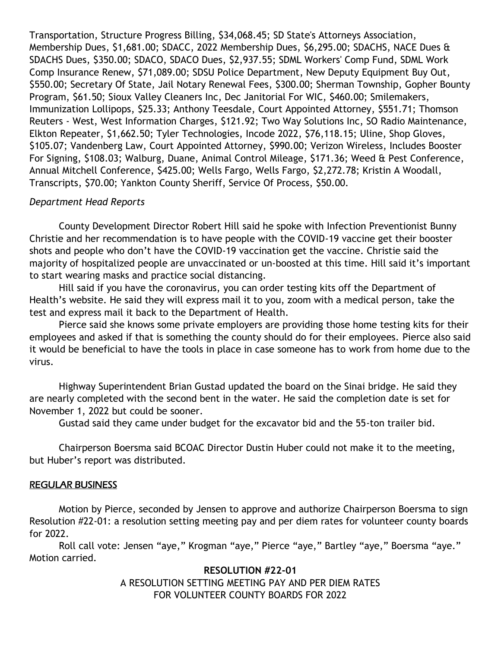Transportation, Structure Progress Billing, \$34,068.45; SD State's Attorneys Association, Membership Dues, \$1,681.00; SDACC, 2022 Membership Dues, \$6,295.00; SDACHS, NACE Dues & SDACHS Dues, \$350.00; SDACO, SDACO Dues, \$2,937.55; SDML Workers' Comp Fund, SDML Work Comp Insurance Renew, \$71,089.00; SDSU Police Department, New Deputy Equipment Buy Out, \$550.00; Secretary Of State, Jail Notary Renewal Fees, \$300.00; Sherman Township, Gopher Bounty Program, \$61.50; Sioux Valley Cleaners Inc, Dec Janitorial For WIC, \$460.00; Smilemakers, Immunization Lollipops, \$25.33; Anthony Teesdale, Court Appointed Attorney, \$551.71; Thomson Reuters - West, West Information Charges, \$121.92; Two Way Solutions Inc, SO Radio Maintenance, Elkton Repeater, \$1,662.50; Tyler Technologies, Incode 2022, \$76,118.15; Uline, Shop Gloves, \$105.07; Vandenberg Law, Court Appointed Attorney, \$990.00; Verizon Wireless, Includes Booster For Signing, \$108.03; Walburg, Duane, Animal Control Mileage, \$171.36; Weed & Pest Conference, Annual Mitchell Conference, \$425.00; Wells Fargo, Wells Fargo, \$2,272.78; Kristin A Woodall, Transcripts, \$70.00; Yankton County Sheriff, Service Of Process, \$50.00.

# *Department Head Reports*

County Development Director Robert Hill said he spoke with Infection Preventionist Bunny Christie and her recommendation is to have people with the COVID-19 vaccine get their booster shots and people who don't have the COVID-19 vaccination get the vaccine. Christie said the majority of hospitalized people are unvaccinated or un-boosted at this time. Hill said it's important to start wearing masks and practice social distancing.

Hill said if you have the coronavirus, you can order testing kits off the Department of Health's website. He said they will express mail it to you, zoom with a medical person, take the test and express mail it back to the Department of Health.

Pierce said she knows some private employers are providing those home testing kits for their employees and asked if that is something the county should do for their employees. Pierce also said it would be beneficial to have the tools in place in case someone has to work from home due to the virus.

Highway Superintendent Brian Gustad updated the board on the Sinai bridge. He said they are nearly completed with the second bent in the water. He said the completion date is set for November 1, 2022 but could be sooner.

Gustad said they came under budget for the excavator bid and the 55-ton trailer bid.

Chairperson Boersma said BCOAC Director Dustin Huber could not make it to the meeting, but Huber's report was distributed.

## REGULAR BUSINESS

Motion by Pierce, seconded by Jensen to approve and authorize Chairperson Boersma to sign Resolution #22-01: a resolution setting meeting pay and per diem rates for volunteer county boards for 2022.

Roll call vote: Jensen "aye," Krogman "aye," Pierce "aye," Bartley "aye," Boersma "aye." Motion carried.

## **RESOLUTION #22-01**

A RESOLUTION SETTING MEETING PAY AND PER DIEM RATES FOR VOLUNTEER COUNTY BOARDS FOR 2022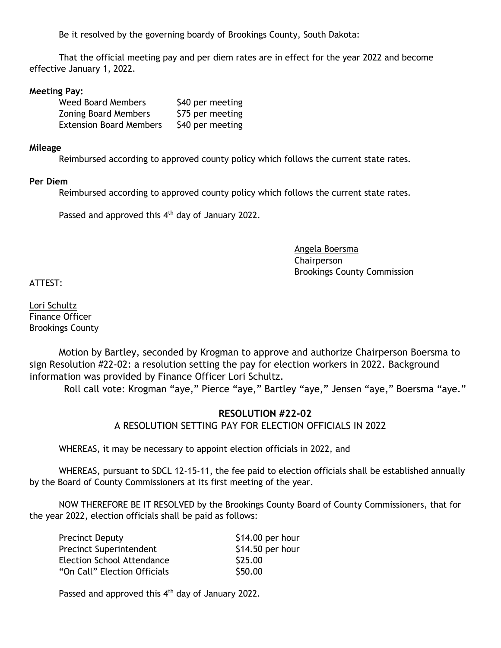Be it resolved by the governing boardy of Brookings County, South Dakota:

That the official meeting pay and per diem rates are in effect for the year 2022 and become effective January 1, 2022.

#### **Meeting Pay:**

| <b>Weed Board Members</b>      | \$40 per meeting |
|--------------------------------|------------------|
| <b>Zoning Board Members</b>    | \$75 per meeting |
| <b>Extension Board Members</b> | \$40 per meeting |

#### **Mileage**

Reimbursed according to approved county policy which follows the current state rates.

#### **Per Diem**

Reimbursed according to approved county policy which follows the current state rates.

Passed and approved this  $4<sup>th</sup>$  day of January 2022.

Angela Boersma Chairperson Brookings County Commission

ATTEST:

Lori Schultz Finance Officer Brookings County

Motion by Bartley, seconded by Krogman to approve and authorize Chairperson Boersma to sign Resolution #22-02: a resolution setting the pay for election workers in 2022. Background information was provided by Finance Officer Lori Schultz.

Roll call vote: Krogman "aye," Pierce "aye," Bartley "aye," Jensen "aye," Boersma "aye."

## **RESOLUTION #22-02**

A RESOLUTION SETTING PAY FOR ELECTION OFFICIALS IN 2022

WHEREAS, it may be necessary to appoint election officials in 2022, and

WHEREAS, pursuant to SDCL 12-15-11, the fee paid to election officials shall be established annually by the Board of County Commissioners at its first meeting of the year.

NOW THEREFORE BE IT RESOLVED by the Brookings County Board of County Commissioners, that for the year 2022, election officials shall be paid as follows:

| <b>Precinct Deputy</b>         | $$14.00$ per hour |
|--------------------------------|-------------------|
| <b>Precinct Superintendent</b> | $$14.50$ per hour |
| Election School Attendance     | \$25.00           |
| "On Call" Election Officials   | \$50.00           |

Passed and approved this 4<sup>th</sup> day of January 2022.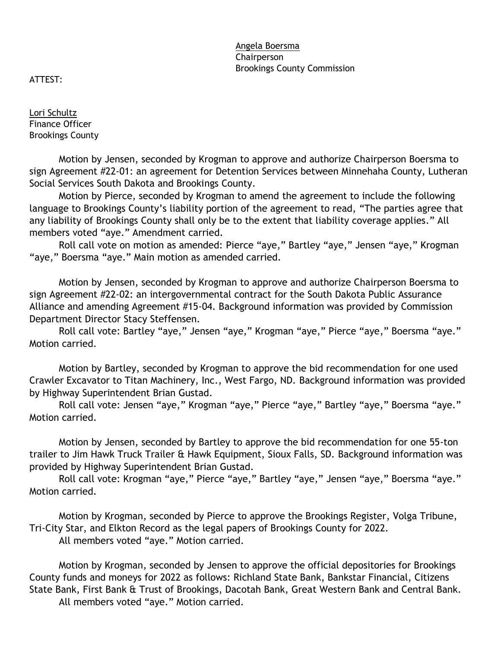Angela Boersma Chairperson Brookings County Commission

ATTEST:

Lori Schultz Finance Officer Brookings County

Motion by Jensen, seconded by Krogman to approve and authorize Chairperson Boersma to sign Agreement #22-01: an agreement for Detention Services between Minnehaha County, Lutheran Social Services South Dakota and Brookings County.

Motion by Pierce, seconded by Krogman to amend the agreement to include the following language to Brookings County's liability portion of the agreement to read, "The parties agree that any liability of Brookings County shall only be to the extent that liability coverage applies." All members voted "aye." Amendment carried.

Roll call vote on motion as amended: Pierce "aye," Bartley "aye," Jensen "aye," Krogman "aye," Boersma "aye." Main motion as amended carried.

Motion by Jensen, seconded by Krogman to approve and authorize Chairperson Boersma to sign Agreement #22-02: an intergovernmental contract for the South Dakota Public Assurance Alliance and amending Agreement #15-04. Background information was provided by Commission Department Director Stacy Steffensen.

Roll call vote: Bartley "aye," Jensen "aye," Krogman "aye," Pierce "aye," Boersma "aye." Motion carried.

Motion by Bartley, seconded by Krogman to approve the bid recommendation for one used Crawler Excavator to Titan Machinery, Inc., West Fargo, ND. Background information was provided by Highway Superintendent Brian Gustad.

Roll call vote: Jensen "aye," Krogman "aye," Pierce "aye," Bartley "aye," Boersma "aye." Motion carried.

Motion by Jensen, seconded by Bartley to approve the bid recommendation for one 55-ton trailer to Jim Hawk Truck Trailer & Hawk Equipment, Sioux Falls, SD. Background information was provided by Highway Superintendent Brian Gustad.

Roll call vote: Krogman "aye," Pierce "aye," Bartley "aye," Jensen "aye," Boersma "aye." Motion carried.

Motion by Krogman, seconded by Pierce to approve the Brookings Register, Volga Tribune, Tri-City Star, and Elkton Record as the legal papers of Brookings County for 2022. All members voted "aye." Motion carried.

Motion by Krogman, seconded by Jensen to approve the official depositories for Brookings County funds and moneys for 2022 as follows: Richland State Bank, Bankstar Financial, Citizens State Bank, First Bank & Trust of Brookings, Dacotah Bank, Great Western Bank and Central Bank. All members voted "aye." Motion carried.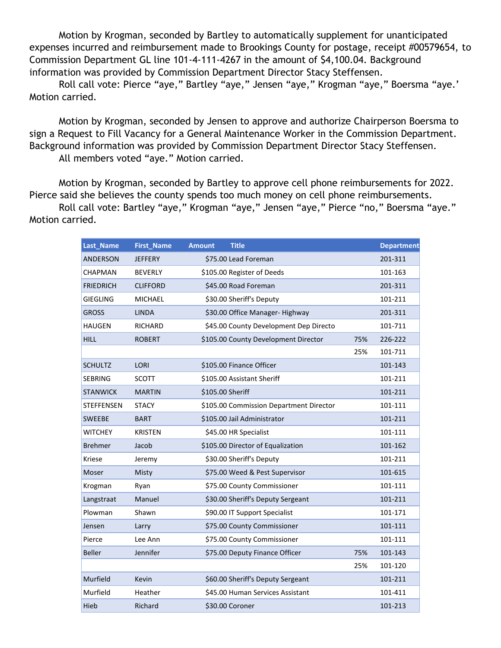Motion by Krogman, seconded by Bartley to automatically supplement for unanticipated expenses incurred and reimbursement made to Brookings County for postage, receipt #00579654, to Commission Department GL line 101-4-111-4267 in the amount of \$4,100.04. Background information was provided by Commission Department Director Stacy Steffensen.

Roll call vote: Pierce "aye," Bartley "aye," Jensen "aye," Krogman "aye," Boersma "aye.' Motion carried.

Motion by Krogman, seconded by Jensen to approve and authorize Chairperson Boersma to sign a Request to Fill Vacancy for a General Maintenance Worker in the Commission Department. Background information was provided by Commission Department Director Stacy Steffensen. All members voted "aye." Motion carried.

Motion by Krogman, seconded by Bartley to approve cell phone reimbursements for 2022. Pierce said she believes the county spends too much money on cell phone reimbursements.

Roll call vote: Bartley "aye," Krogman "aye," Jensen "aye," Pierce "no," Boersma "aye." Motion carried.

| Last_Name         | <b>First_Name</b> | <b>Amount</b><br><b>Title</b>           |     | <b>Department</b> |
|-------------------|-------------------|-----------------------------------------|-----|-------------------|
| ANDERSON          | <b>JEFFERY</b>    | \$75.00 Lead Foreman                    |     | 201-311           |
| CHAPMAN           | <b>BEVERLY</b>    | \$105.00 Register of Deeds              |     | 101-163           |
| <b>FRIEDRICH</b>  | <b>CLIFFORD</b>   | \$45.00 Road Foreman                    |     | 201-311           |
| <b>GIEGLING</b>   | <b>MICHAEL</b>    | \$30.00 Sheriff's Deputy                |     | 101-211           |
| <b>GROSS</b>      | <b>LINDA</b>      | \$30.00 Office Manager-Highway          |     | 201-311           |
| <b>HAUGEN</b>     | RICHARD           | \$45.00 County Development Dep Directo  |     | 101-711           |
| <b>HILL</b>       | <b>ROBERT</b>     | \$105.00 County Development Director    | 75% | 226-222           |
|                   |                   |                                         | 25% | 101-711           |
| <b>SCHULTZ</b>    | LORI              | \$105.00 Finance Officer                |     | 101-143           |
| <b>SEBRING</b>    | <b>SCOTT</b>      | \$105.00 Assistant Sheriff              |     | 101-211           |
| <b>STANWICK</b>   | <b>MARTIN</b>     | \$105.00 Sheriff                        |     | 101-211           |
| <b>STEFFENSEN</b> | <b>STACY</b>      | \$105.00 Commission Department Director |     | 101-111           |
| <b>SWEEBE</b>     | <b>BART</b>       | \$105.00 Jail Administrator             |     | 101-211           |
| <b>WITCHEY</b>    | <b>KRISTEN</b>    | \$45.00 HR Specialist                   |     | 101-111           |
| <b>Brehmer</b>    | Jacob             | \$105.00 Director of Equalization       |     | 101-162           |
| <b>Kriese</b>     | Jeremy            | \$30.00 Sheriff's Deputy                |     | 101-211           |
| Moser             | Misty             | \$75.00 Weed & Pest Supervisor          |     | 101-615           |
| Krogman           | Ryan              | \$75.00 County Commissioner             |     | 101-111           |
| Langstraat        | Manuel            | \$30.00 Sheriff's Deputy Sergeant       |     | 101-211           |
| Plowman           | Shawn             | \$90.00 IT Support Specialist           |     | 101-171           |
| Jensen            | Larry             | \$75.00 County Commissioner             |     | 101-111           |
| Pierce            | Lee Ann           | \$75.00 County Commissioner             |     | 101-111           |
| <b>Beller</b>     | Jennifer          | \$75.00 Deputy Finance Officer          | 75% | 101-143           |
|                   |                   |                                         | 25% | 101-120           |
| Murfield          | Kevin             | \$60.00 Sheriff's Deputy Sergeant       |     | 101-211           |
| Murfield          | Heather           | \$45.00 Human Services Assistant        |     | 101-411           |
| Hieb              | Richard           | \$30.00 Coroner                         |     | 101-213           |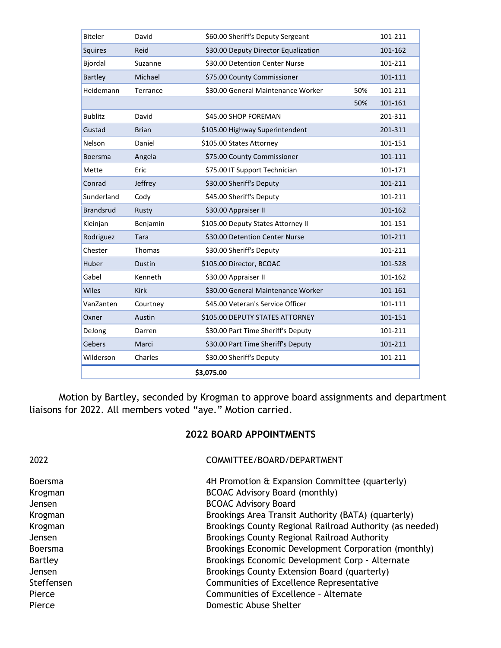| <b>Biteler</b>   | David         | \$60.00 Sheriff's Deputy Sergeant    |     | 101-211 |
|------------------|---------------|--------------------------------------|-----|---------|
| Squires          | Reid          | \$30.00 Deputy Director Equalization |     | 101-162 |
| Bjordal          | Suzanne       | \$30.00 Detention Center Nurse       |     | 101-211 |
| <b>Bartley</b>   | Michael       | \$75.00 County Commissioner          |     | 101-111 |
| Heidemann        | Terrance      | \$30.00 General Maintenance Worker   | 50% | 101-211 |
|                  |               |                                      | 50% | 101-161 |
| <b>Bublitz</b>   | David         | \$45.00 SHOP FOREMAN                 |     | 201-311 |
| Gustad           | <b>Brian</b>  | \$105.00 Highway Superintendent      |     | 201-311 |
| Nelson           | Daniel        | \$105.00 States Attorney             |     | 101-151 |
| <b>Boersma</b>   | Angela        | \$75.00 County Commissioner          |     | 101-111 |
| Mette            | Eric          | \$75.00 IT Support Technician        |     | 101-171 |
| Conrad           | Jeffrey       | \$30.00 Sheriff's Deputy             |     | 101-211 |
| Sunderland       | Cody          | \$45.00 Sheriff's Deputy             |     | 101-211 |
| <b>Brandsrud</b> | Rusty         | \$30.00 Appraiser II                 |     | 101-162 |
| Kleinjan         | Benjamin      | \$105.00 Deputy States Attorney II   |     | 101-151 |
| Rodriguez        | Tara          | \$30.00 Detention Center Nurse       |     | 101-211 |
| Chester          | Thomas        | \$30.00 Sheriff's Deputy             |     | 101-211 |
| Huber            | <b>Dustin</b> | \$105.00 Director, BCOAC             |     | 101-528 |
| Gabel            | Kenneth       | \$30.00 Appraiser II                 |     | 101-162 |
| Wiles            | <b>Kirk</b>   | \$30.00 General Maintenance Worker   |     | 101-161 |
| VanZanten        | Courtney      | \$45.00 Veteran's Service Officer    |     | 101-111 |
| Oxner            | Austin        | \$105.00 DEPUTY STATES ATTORNEY      |     | 101-151 |
| DeJong           | Darren        | \$30.00 Part Time Sheriff's Deputy   |     | 101-211 |
| Gebers           | Marci         | \$30.00 Part Time Sheriff's Deputy   |     | 101-211 |
| Wilderson        | Charles       | \$30.00 Sheriff's Deputy             |     | 101-211 |
| \$3,075.00       |               |                                      |     |         |
|                  |               |                                      |     |         |

Motion by Bartley, seconded by Krogman to approve board assignments and department liaisons for 2022. All members voted "aye." Motion carried.

# **2022 BOARD APPOINTMENTS**

| 2022           | COMMITTEE/BOARD/DEPARTMENT                               |
|----------------|----------------------------------------------------------|
| <b>Boersma</b> | 4H Promotion & Expansion Committee (quarterly)           |
| Krogman        | <b>BCOAC Advisory Board (monthly)</b>                    |
| <b>Jensen</b>  | <b>BCOAC Advisory Board</b>                              |
| Krogman        | Brookings Area Transit Authority (BATA) (quarterly)      |
| Krogman        | Brookings County Regional Railroad Authority (as needed) |
| Jensen         | Brookings County Regional Railroad Authority             |
| <b>Boersma</b> | Brookings Economic Development Corporation (monthly)     |
| Bartley        | Brookings Economic Development Corp - Alternate          |
| Jensen         | Brookings County Extension Board (quarterly)             |
| Steffensen     | Communities of Excellence Representative                 |
| Pierce         | Communities of Excellence - Alternate                    |
| Pierce         | Domestic Abuse Shelter                                   |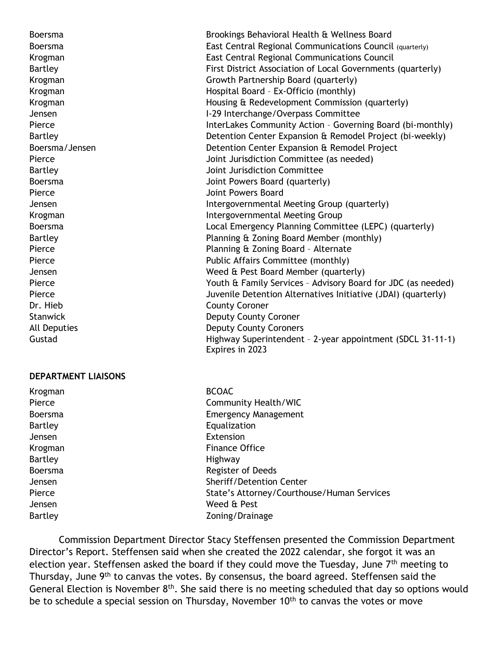Boersma Brookings Behavioral Health & Wellness Board Boersma East Central Regional Communications Council (quarterly) Krogman East Central Regional Communications Council Bartley First District Association of Local Governments (quarterly) Krogman Growth Partnership Board (quarterly) Krogman **Hospital Board – Ex-Officio (monthly)** Krogman **Housing & Redevelopment Commission (quarterly)** Housing & Redevelopment Commission (quarterly) Jensen I-29 Interchange/Overpass Committee Pierce **InterLakes Community Action - Governing Board (bi-monthly)** Bartley **Detention Center Expansion & Remodel Project (bi-weekly)** Detention Center Expansion & Remodel Project (bi-weekly) Boersma/Jensen Detention Center Expansion & Remodel Project Pierce **Voltage Committee (as needed)** Joint Jurisdiction Committee (as needed) Bartley Joint Jurisdiction Committee Boersma Joint Powers Board (quarterly) Pierce **Disk Premium Premium Powers Board** Jensen Intergovernmental Meeting Group (quarterly) Krogman **Intergovernmental Meeting Group** Boersma Local Emergency Planning Committee (LEPC) (quarterly) Bartley Planning & Zoning Board Member (monthly) Pierce **Planning & Zoning Board - Alternate** Pierce **Public Affairs Committee (monthly)** Public Affairs Committee (monthly) Jensen Weed & Pest Board Member (quarterly) Pierce The Youth & Family Services - Advisory Board for JDC (as needed) Pierce **The Internative Constructs** Juvenile Detention Alternatives Initiative (JDAI) (quarterly) Dr. Hieb County Coroner Stanwick **Deputy County Coroner** All Deputies **Deputy County Coroners** Gustad Gustad Highway Superintendent - 2-year appointment (SDCL 31-11-1) Expires in 2023

#### **DEPARTMENT LIAISONS**

Krogman BCOAC Pierce Community Health/WIC Boersma Emergency Management Bartley **Equalization** Jensen Extension Krogman **Finance Office** Bartley **Highway** Boersma **Register of Deeds** Jensen Sheriff/Detention Center Pierce State's Attorney/Courthouse/Human Services Jensen Weed & Pest Bartley **Example 20** Solution 20 and 20 April 20 and 20 and 20 and 20 and 20 and 20 and 20 and 20 and 20 and 20 and 20 and 20 and 20 and 20 and 20 and 20 and 20 and 20 and 20 and 20 and 20 and 20 and 20 and 20 and 20 and 2

Commission Department Director Stacy Steffensen presented the Commission Department Director's Report. Steffensen said when she created the 2022 calendar, she forgot it was an election year. Steffensen asked the board if they could move the Tuesday, June 7<sup>th</sup> meeting to Thursday, June 9th to canvas the votes. By consensus, the board agreed. Steffensen said the General Election is November  $8<sup>th</sup>$ . She said there is no meeting scheduled that day so options would be to schedule a special session on Thursday, November 10<sup>th</sup> to canvas the votes or move